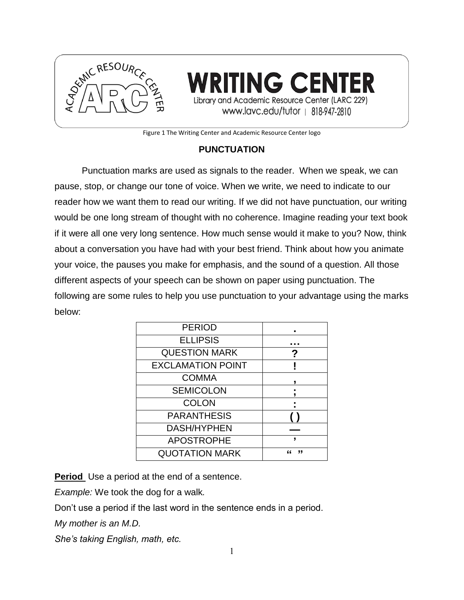

RITING CENTER Library and Academic Resource Center (LARC 229) www.lavc.edu/tutor | 818-947-2810

Figure 1 The Writing Center and Academic Resource Center logo

# **PUNCTUATION**

Punctuation marks are used as signals to the reader. When we speak, we can pause, stop, or change our tone of voice. When we write, we need to indicate to our reader how we want them to read our writing. If we did not have punctuation, our writing would be one long stream of thought with no coherence. Imagine reading your text book if it were all one very long sentence. How much sense would it make to you? Now, think about a conversation you have had with your best friend. Think about how you animate your voice, the pauses you make for emphasis, and the sound of a question. All those different aspects of your speech can be shown on paper using punctuation. The following are some rules to help you use punctuation to your advantage using the marks below:

| <b>PERIOD</b>            |        |
|--------------------------|--------|
| <b>ELLIPSIS</b>          |        |
| <b>QUESTION MARK</b>     | ?      |
| <b>EXCLAMATION POINT</b> |        |
| <b>COMMA</b>             |        |
| <b>SEMICOLON</b>         |        |
| <b>COLON</b>             |        |
| <b>PARANTHESIS</b>       |        |
| <b>DASH/HYPHEN</b>       |        |
| <b>APOSTROPHE</b>        | ,      |
| <b>QUOTATION MARK</b>    | "<br>" |

**Period** Use a period at the end of a sentence.

*Example:* We took the dog for a walk*.*

Don't use a period if the last word in the sentence ends in a period.

*My mother is an M.D.*

*She's taking English, math, etc.*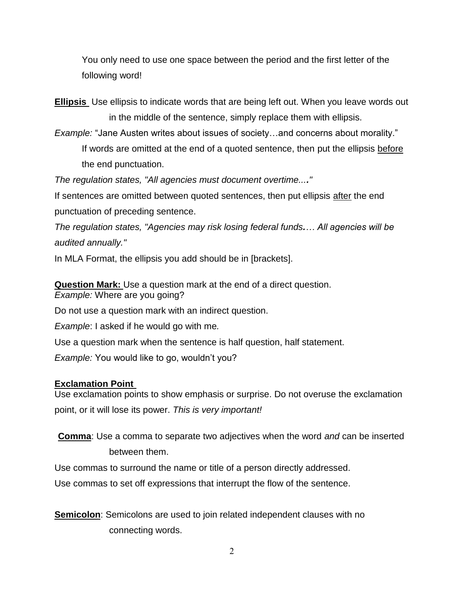You only need to use one space between the period and the first letter of the following word!

**Ellipsis** Use ellipsis to indicate words that are being left out. When you leave words out in the middle of the sentence, simply replace them with ellipsis.

*Example:* "Jane Austen writes about issues of society…and concerns about morality." If words are omitted at the end of a quoted sentence, then put the ellipsis before the end punctuation.

*The regulation states, "All agencies must document overtime...."* 

If sentences are omitted between quoted sentences, then put ellipsis after the end punctuation of preceding sentence.

*The regulation states, "Agencies may risk losing federal funds.… All agencies will be audited annually."*

In MLA Format, the ellipsis you add should be in [brackets].

**Question Mark:** Use a question mark at the end of a direct question. *Example:* Where are you going?

Do not use a question mark with an indirect question.

*Example*: I asked if he would go with me*.*

Use a question mark when the sentence is half question, half statement.

*Example:* You would like to go, wouldn't you?

### **Exclamation Point**

Use exclamation points to show emphasis or surprise. Do not overuse the exclamation point, or it will lose its power. *This is very important!*

**Comma**: Use a comma to separate two adjectives when the word *and* can be inserted between them.

Use commas to surround the name or title of a person directly addressed.

Use commas to set off expressions that interrupt the flow of the sentence.

**Semicolon**: Semicolons are used to join related independent clauses with no connecting words.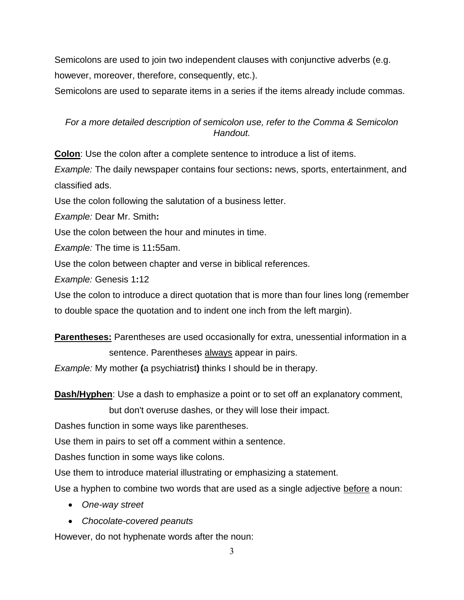Semicolons are used to join two independent clauses with conjunctive adverbs (e.g. however, moreover, therefore, consequently, etc.).

Semicolons are used to separate items in a series if the items already include commas.

## *For a more detailed description of semicolon use, refer to the Comma & Semicolon Handout.*

**Colon**: Use the colon after a complete sentence to introduce a list of items. *Example:* The daily newspaper contains four sections**:** news, sports, entertainment, and

classified ads.

Use the colon following the salutation of a business letter.

*Example:* Dear Mr. Smith**:**

Use the colon between the hour and minutes in time.

*Example:* The time is 11**:**55am.

Use the colon between chapter and verse in biblical references.

*Example:* Genesis 1**:**12

Use the colon to introduce a direct quotation that is more than four lines long (remember to double space the quotation and to indent one inch from the left margin).

**Parentheses:** Parentheses are used occasionally for extra, unessential information in a sentence. Parentheses always appear in pairs.

*Example:* My mother **(**a psychiatrist**)** thinks I should be in therapy.

**Dash/Hyphen**: Use a dash to emphasize a point or to set off an explanatory comment,

but don't overuse dashes, or they will lose their impact.

Dashes function in some ways like parentheses.

Use them in pairs to set off a comment within a sentence.

Dashes function in some ways like colons.

Use them to introduce material illustrating or emphasizing a statement.

Use a hyphen to combine two words that are used as a single adjective before a noun:

- *One-way street*
- *Chocolate-covered peanuts*

However, do not hyphenate words after the noun: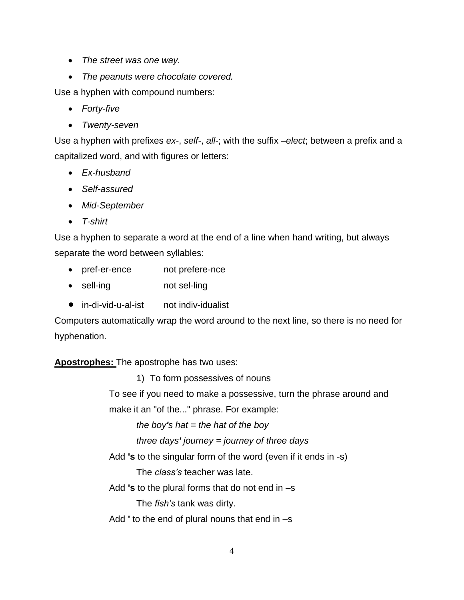- *The street was one way.*
- *The peanuts were chocolate covered.*

Use a hyphen with compound numbers:

- *Forty-five*
- *Twenty-seven*

Use a hyphen with prefixes *ex-*, *self-*, *all-*; with the suffix *–elect*; between a prefix and a capitalized word, and with figures or letters:

- *Ex-husband*
- *Self-assured*
- *Mid-September*
- *T-shirt*

Use a hyphen to separate a word at the end of a line when hand writing, but always separate the word between syllables:

- pref-er-ence not prefere-nce
- sell-ing not sel-ling
- in-di-vid-u-al-ist not indiv-idualist

Computers automatically wrap the word around to the next line, so there is no need for hyphenation.

## **Apostrophes:** The apostrophe has two uses:

1) To form possessives of nouns

To see if you need to make a possessive, turn the phrase around and

make it an "of the..." phrase. For example:

*the boy's hat = the hat of the boy* 

*three days' journey = journey of three days*

Add **'s** to the singular form of the word (even if it ends in -s)

The *class's* teacher was late.

Add **'s** to the plural forms that do not end in –s

The *fish's* tank was dirty.

Add **'** to the end of plural nouns that end in –s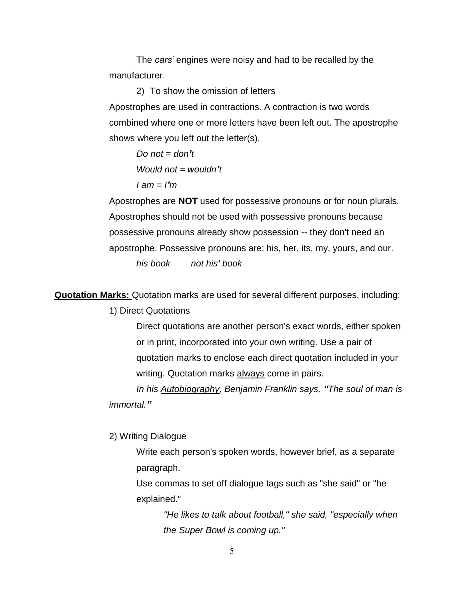The *cars'* engines were noisy and had to be recalled by the manufacturer.

2) To show the omission of letters Apostrophes are used in contractions. A contraction is two words combined where one or more letters have been left out. The apostrophe shows where you left out the letter(s).

*Do not = don't Would not = wouldn't I am = I'm*

Apostrophes are **NOT** used for possessive pronouns or for noun plurals. Apostrophes should not be used with possessive pronouns because possessive pronouns already show possession -- they don't need an apostrophe. Possessive pronouns are: his, her, its, my, yours, and our. *his book not his' book*

**Quotation Marks:** Quotation marks are used for several different purposes, including:

1) Direct Quotations

Direct quotations are another person's exact words, either spoken or in print, incorporated into your own writing. Use a pair of quotation marks to enclose each direct quotation included in your writing. Quotation marks always come in pairs.

*In his Autobiography, Benjamin Franklin says, "The soul of man is immortal."*

2) Writing Dialogue

Write each person's spoken words, however brief, as a separate paragraph.

Use commas to set off dialogue tags such as "she said" or "he explained."

> *"He likes to talk about football," she said, "especially when the Super Bowl is coming up."*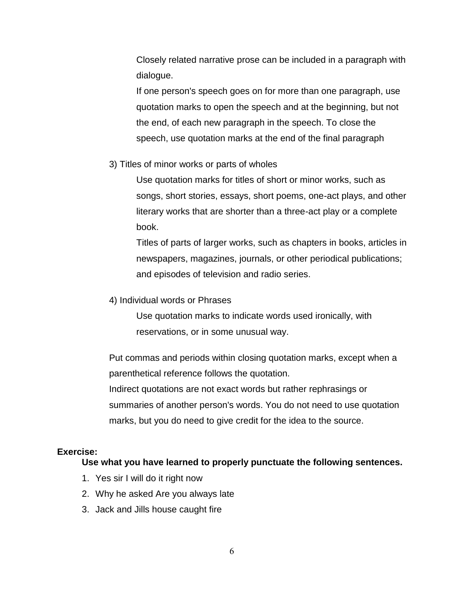Closely related narrative prose can be included in a paragraph with dialogue.

If one person's speech goes on for more than one paragraph, use quotation marks to open the speech and at the beginning, but not the end, of each new paragraph in the speech. To close the speech, use quotation marks at the end of the final paragraph

#### 3) Titles of minor works or parts of wholes

Use quotation marks for titles of short or minor works, such as songs, short stories, essays, short poems, one-act plays, and other literary works that are shorter than a three-act play or a complete book.

Titles of parts of larger works, such as chapters in books, articles in newspapers, magazines, journals, or other periodical publications; and episodes of television and radio series.

4) Individual words or Phrases

Use quotation marks to indicate words used ironically, with reservations, or in some unusual way.

Put commas and periods within closing quotation marks, except when a parenthetical reference follows the quotation. Indirect quotations are not exact words but rather rephrasings or summaries of another person's words. You do not need to use quotation marks, but you do need to give credit for the idea to the source.

### **Exercise:**

#### **Use what you have learned to properly punctuate the following sentences.**

- 1. Yes sir I will do it right now
- 2. Why he asked Are you always late
- 3. Jack and Jills house caught fire